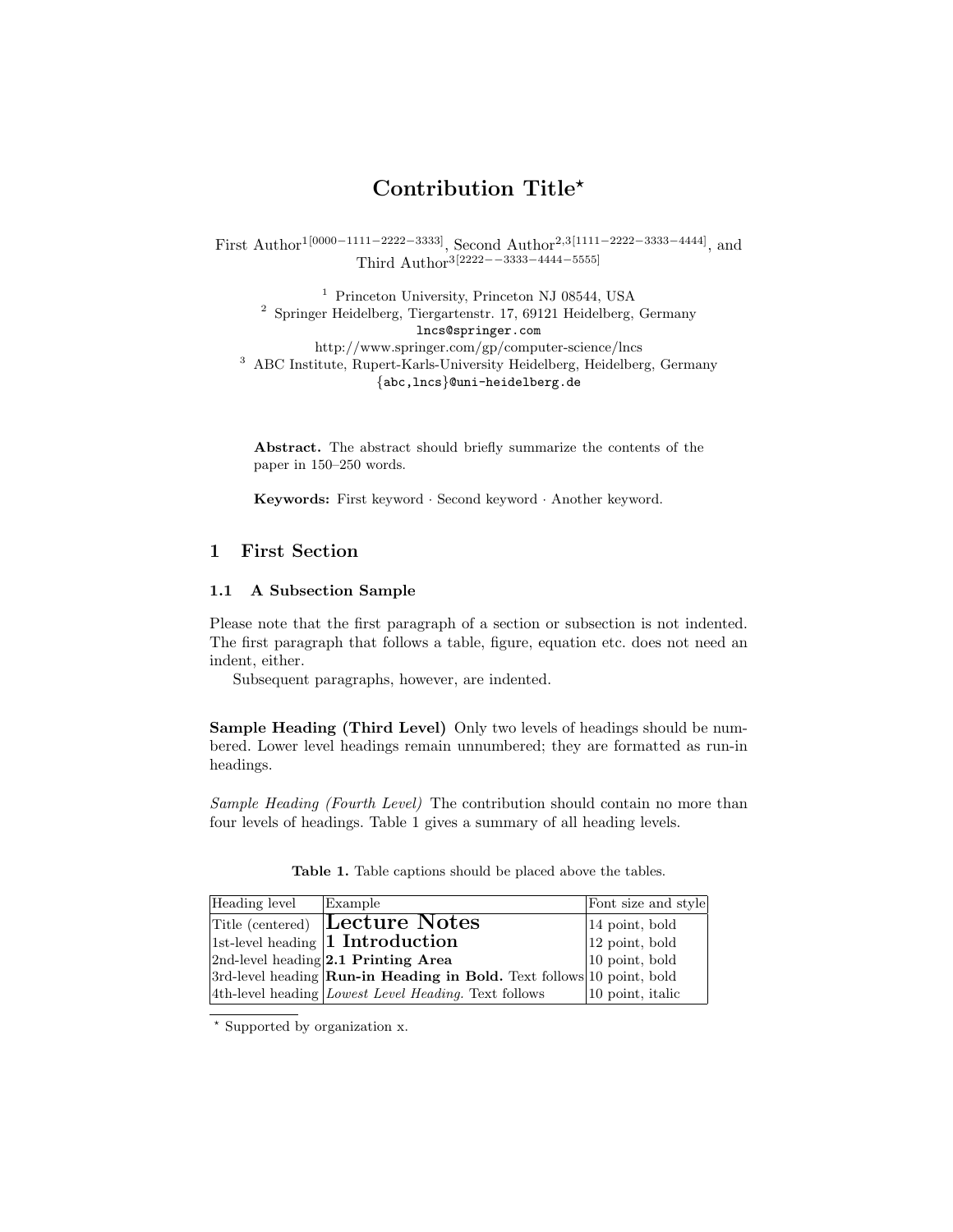# Contribution Title?

First Author1[0000−1111−2222−3333], Second Author2,3[1111−2222−3333−4444], and Third Author3[2222−−3333−4444−5555]

<sup>1</sup> Princeton University, Princeton NJ 08544, USA <sup>2</sup> Springer Heidelberg, Tiergartenstr. 17, 69121 Heidelberg, Germany lncs@springer.com http://www.springer.com/gp/computer-science/lncs <sup>3</sup> ABC Institute, Rupert-Karls-University Heidelberg, Heidelberg, Germany {abc,lncs}@uni-heidelberg.de

Abstract. The abstract should briefly summarize the contents of the paper in 150–250 words.

Keywords: First keyword · Second keyword · Another keyword.

## 1 First Section

#### 1.1 A Subsection Sample

Please note that the first paragraph of a section or subsection is not indented. The first paragraph that follows a table, figure, equation etc. does not need an indent, either.

Subsequent paragraphs, however, are indented.

Sample Heading (Third Level) Only two levels of headings should be numbered. Lower level headings remain unnumbered; they are formatted as run-in headings.

Sample Heading (Fourth Level) The contribution should contain no more than four levels of headings. Table 1 gives a summary of all heading levels.

| Heading level | Example                                                                         | Font size and style    |
|---------------|---------------------------------------------------------------------------------|------------------------|
|               | <b>Title (centered) Lecture Notes</b>                                           | $ 14\>$ point, bold    |
|               | $ 1st$ -level heading <b>1 Introduction</b>                                     | $\vert$ 12 point, bold |
|               | $ 2nd$ -level heading $ 2.1$ Printing Area                                      | $ 10\>$ point, bold    |
|               | $3rd$ -level heading <b>Run-in Heading in Bold.</b> Text follows 10 point, bold |                        |
|               | 4th-level heading <i>Lowest Level Heading</i> . Text follows                    | $ 10\>$ point, italic  |

Table 1. Table captions should be placed above the tables.

? Supported by organization x.